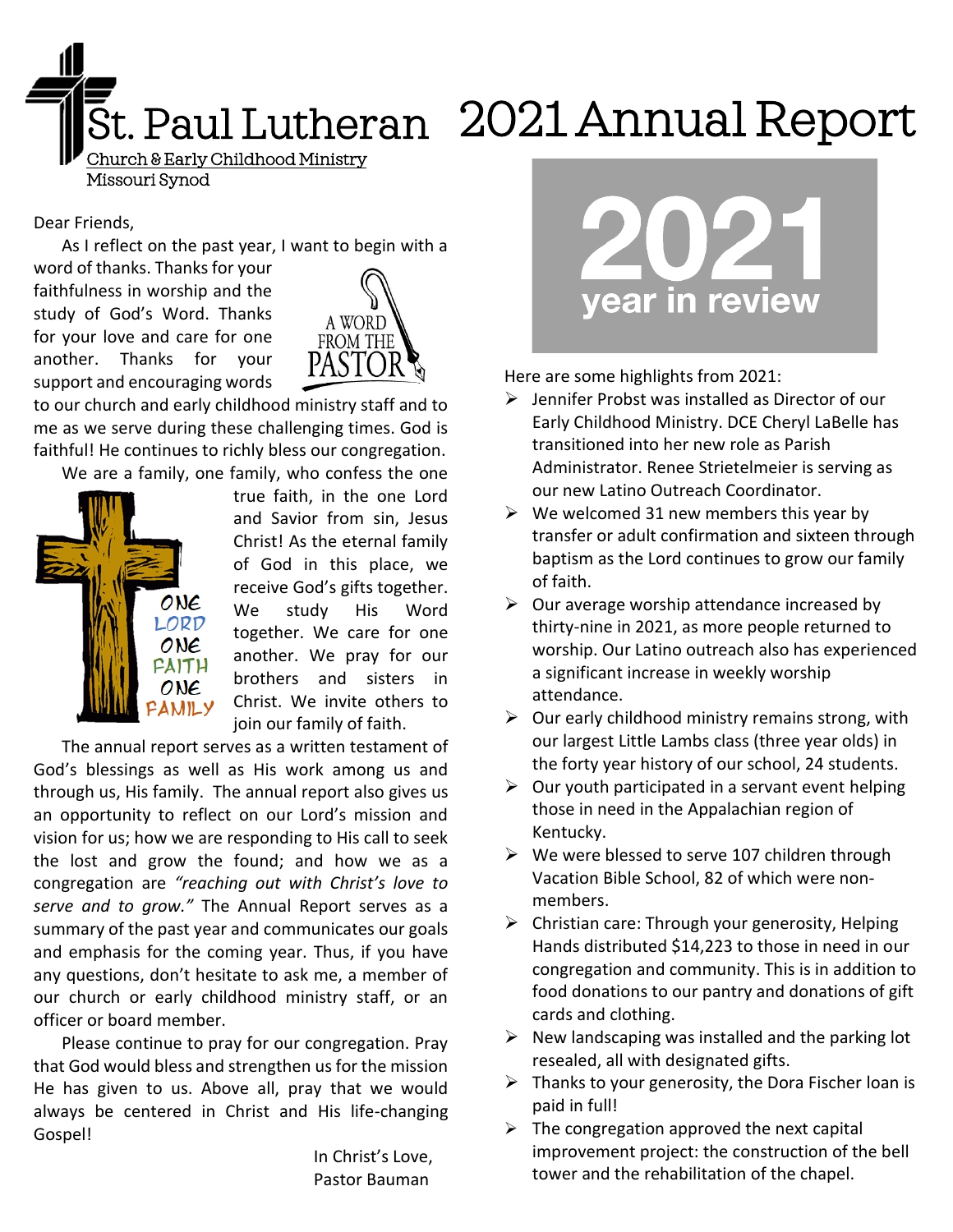

# St. Paul Lutheran 2021 Annual Report

Dear Friends,

As I reflect on the past year, I want to begin with a

word of thanks. Thanks for your faithfulness in worship and the study of God's Word. Thanks for your love and care for one another. Thanks for your support and encouraging words



to our church and early childhood ministry staff and to me as we serve during these challenging times. God is faithful! He continues to richly bless our congregation.

We are a family, one family, who confess the one



true faith, in the one Lord and Savior from sin, Jesus Christ! As the eternal family of God in this place, we receive God's gifts together. We study His Word together. We care for one another. We pray for our brothers and sisters in Christ. We invite others to join our family of faith.

The annual report serves as a written testament of God's blessings as well as His work among us and through us, His family. The annual report also gives us an opportunity to reflect on our Lord's mission and vision for us; how we are responding to His call to seek the lost and grow the found; and how we as a congregation are *"reaching out with Christ's love to serve and to grow."* The Annual Report serves as a summary of the past year and communicates our goals and emphasis for the coming year. Thus, if you have any questions, don't hesitate to ask me, a member of our church or early childhood ministry staff, or an officer or board member.

Please continue to pray for our congregation. Pray that God would bless and strengthen us for the mission He has given to us. Above all, pray that we would always be centered in Christ and His life-changing Gospel!

> In Christ's Love, Pastor Bauman



Here are some highlights from 2021:

- ➢ Jennifer Probst was installed as Director of our Early Childhood Ministry. DCE Cheryl LaBelle has transitioned into her new role as Parish Administrator. Renee Strietelmeier is serving as our new Latino Outreach Coordinator.
- $\triangleright$  We welcomed 31 new members this year by transfer or adult confirmation and sixteen through baptism as the Lord continues to grow our family of faith.
- $\triangleright$  Our average worship attendance increased by thirty-nine in 2021, as more people returned to worship. Our Latino outreach also has experienced a significant increase in weekly worship attendance.
- $\triangleright$  Our early childhood ministry remains strong, with our largest Little Lambs class (three year olds) in the forty year history of our school, 24 students.
- $\triangleright$  Our youth participated in a servant event helping those in need in the Appalachian region of Kentucky.
- $\triangleright$  We were blessed to serve 107 children through Vacation Bible School, 82 of which were nonmembers.
- $\triangleright$  Christian care: Through your generosity, Helping Hands distributed \$14,223 to those in need in our congregation and community. This is in addition to food donations to our pantry and donations of gift cards and clothing.
- $\triangleright$  New landscaping was installed and the parking lot resealed, all with designated gifts.
- $\triangleright$  Thanks to your generosity, the Dora Fischer loan is paid in full!
- $\triangleright$  The congregation approved the next capital improvement project: the construction of the bell tower and the rehabilitation of the chapel.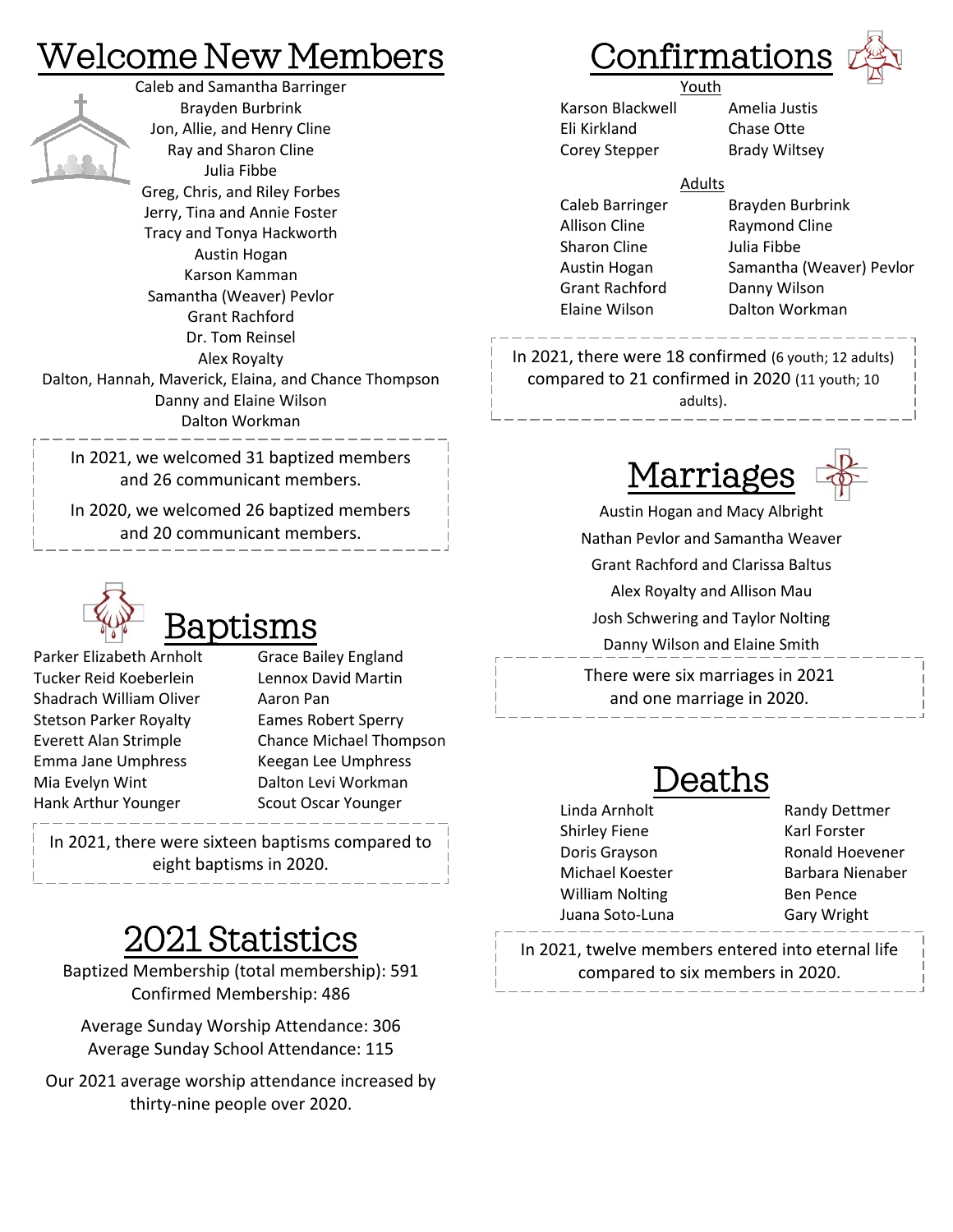### Welcome New Members



Caleb and Samantha Barringer Brayden Burbrink Jon, Allie, and Henry Cline Ray and Sharon Cline Julia Fibbe Greg, Chris, and Riley Forbes Jerry, Tina and Annie Foster Tracy and Tonya Hackworth Austin Hogan Karson Kamman Samantha (Weaver) Pevlor Grant Rachford Dr. Tom Reinsel Alex Royalty Dalton, Hannah, Maverick, Elaina, and Chance Thompson Danny and Elaine Wilson Dalton Workman

In 2021, we welcomed 31 baptized members and 26 communicant members.

In 2020, we welcomed 26 baptized members and 20 communicant members.



Parker Elizabeth Arnholt Grace Bailey England Tucker Reid Koeberlein Lennox David Martin Shadrach William Oliver **Aaron Pan** Stetson Parker Royalty Eames Robert Sperry Emma Jane Umphress Keegan Lee Umphress Mia Evelyn Wint **Dalton Levi Workman** Hank Arthur Younger Scout Oscar Younger

Everett Alan Strimple Chance Michael Thompson

In 2021, there were sixteen baptisms compared to eight baptisms in 2020.

### 2021 Statistics

Baptized Membership (total membership): 591 Confirmed Membership: 486

Average Sunday Worship Attendance: 306 Average Sunday School Attendance: 115

Our 2021 average worship attendance increased by thirty-nine people over 2020.

### **Confirmations**



**Example 21 Youth** Karson Blackwell Amelia Justis Eli Kirkland Chase Otte Corey Stepper Brady Wiltsey

#### Adults

Allison Cline Raymond Cline Sharon Cline Julia Fibbe Grant Rachford Danny Wilson

Caleb Barringer Brayden Burbrink Austin Hogan Samantha (Weaver) Pevlor Elaine Wilson Dalton Workman

In 2021, there were 18 confirmed (6 youth; 12 adults) compared to 21 confirmed in 2020 (11 youth; 10 adults).



Austin Hogan and Macy Albright Nathan Pevlor and Samantha Weaver Grant Rachford and Clarissa Baltus Alex Royalty and Allison Mau Josh Schwering and Taylor Nolting Danny Wilson and Elaine Smith

There were six marriages in 2021 and one marriage in 2020.

### eaths

- Linda Arnholt Randy Dettmer Shirley Fiene Karl Forster William Nolting Ben Pence Juana Soto-Luna Gary Wright
- Doris Grayson Ronald Hoevener Michael Koester **Barbara Nienaber**

In 2021, twelve members entered into eternal life compared to six members in 2020.

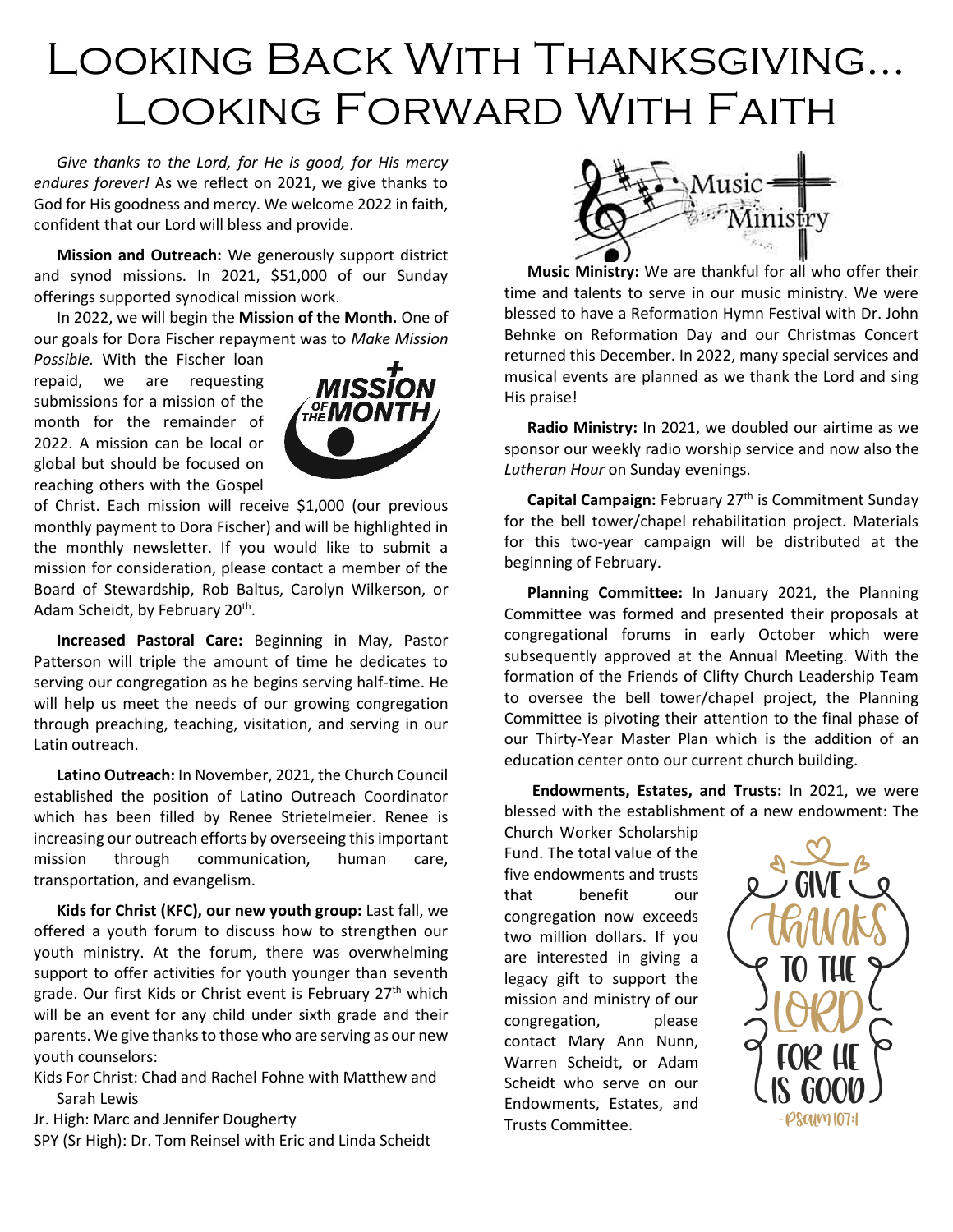## Looking Back With Thanksgiving… Looking Forward With Faith

*Give thanks to the Lord, for He is good, for His mercy endures forever!* As we reflect on 2021, we give thanks to God for His goodness and mercy. We welcome 2022 in faith, confident that our Lord will bless and provide.

**Mission and Outreach:** We generously support district and synod missions. In 2021, \$51,000 of our Sunday offerings supported synodical mission work.

In 2022, we will begin the **Mission of the Month.** One of our goals for Dora Fischer repayment was to *Make Mission* 

*Possible.* With the Fischer loan repaid, we are requesting submissions for a mission of the month for the remainder of 2022. A mission can be local or global but should be focused on reaching others with the Gospel



of Christ. Each mission will receive \$1,000 (our previous monthly payment to Dora Fischer) and will be highlighted in the monthly newsletter. If you would like to submit a mission for consideration, please contact a member of the Board of Stewardship, Rob Baltus, Carolyn Wilkerson, or Adam Scheidt, by February 20<sup>th</sup>.

**Increased Pastoral Care:** Beginning in May, Pastor Patterson will triple the amount of time he dedicates to serving our congregation as he begins serving half-time. He will help us meet the needs of our growing congregation through preaching, teaching, visitation, and serving in our Latin outreach.

**Latino Outreach:** In November, 2021, the Church Council established the position of Latino Outreach Coordinator which has been filled by Renee Strietelmeier. Renee is increasing our outreach efforts by overseeing this important mission through communication, human care, transportation, and evangelism.

**Kids for Christ (KFC), our new youth group:** Last fall, we offered a youth forum to discuss how to strengthen our youth ministry. At the forum, there was overwhelming support to offer activities for youth younger than seventh grade. Our first Kids or Christ event is February 27<sup>th</sup> which will be an event for any child under sixth grade and their parents. We give thanks to those who are serving as our new youth counselors:

Kids For Christ: Chad and Rachel Fohne with Matthew and Sarah Lewis

Jr. High: Marc and Jennifer Dougherty

SPY (Sr High): Dr. Tom Reinsel with Eric and Linda Scheidt



**Music Ministry:** We are thankful for all who offer their time and talents to serve in our music ministry. We were blessed to have a Reformation Hymn Festival with Dr. John Behnke on Reformation Day and our Christmas Concert returned this December. In 2022, many special services and musical events are planned as we thank the Lord and sing His praise!

**Radio Ministry:** In 2021, we doubled our airtime as we sponsor our weekly radio worship service and now also the *Lutheran Hour* on Sunday evenings.

**Capital Campaign: February 27<sup>th</sup> is Commitment Sunday** for the bell tower/chapel rehabilitation project. Materials for this two-year campaign will be distributed at the beginning of February.

**Planning Committee:** In January 2021, the Planning Committee was formed and presented their proposals at congregational forums in early October which were subsequently approved at the Annual Meeting. With the formation of the Friends of Clifty Church Leadership Team to oversee the bell tower/chapel project, the Planning Committee is pivoting their attention to the final phase of our Thirty-Year Master Plan which is the addition of an education center onto our current church building.

**Endowments, Estates, and Trusts:** In 2021, we were blessed with the establishment of a new endowment: The

Church Worker Scholarship Fund. The total value of the five endowments and trusts that benefit our congregation now exceeds two million dollars. If you are interested in giving a legacy gift to support the mission and ministry of our congregation, please contact Mary Ann Nunn, Warren Scheidt, or Adam Scheidt who serve on our Endowments, Estates, and Trusts Committee.